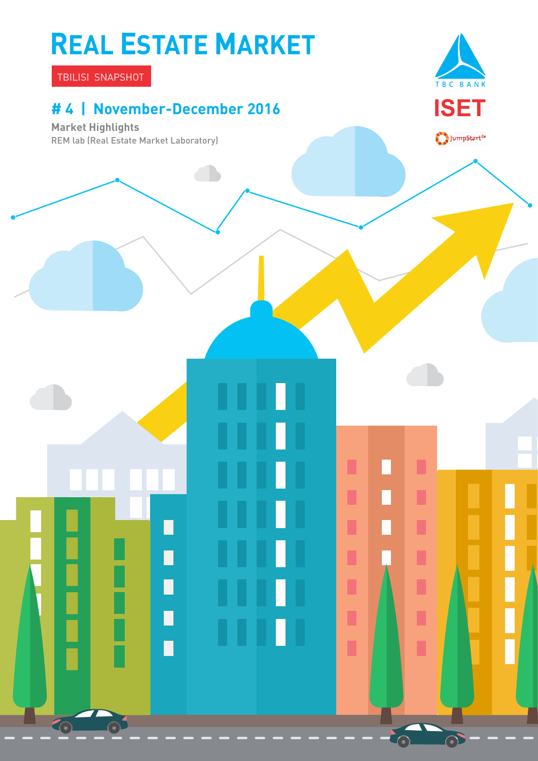# **REAL ESTATE MARKET**

TBILISI SNAPSHOT

### **# 4 | November-December 2016**

┑

П

П

П

G

**Market Highlights** REM lab (Real Estate Market Laboratory)



 $\bigcirc$ JumpStart<sup>or</sup>

П

П

П

Π

Ľ

Ī

ı

 $\odot$ 

 $\Box$ 

 $\overline{\phantom{a}}$ 

П

 $\Box$ 

Π

п

п

ı

I

I

ī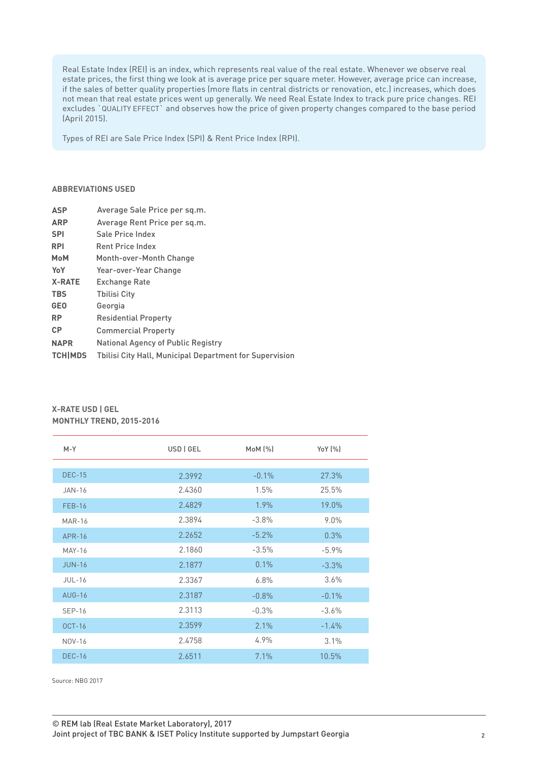Real Estate Index (REI) is an index, which represents real value of the real estate. Whenever we observe real estate prices, the first thing we look at is average price per square meter. However, average price can increase, if the sales of better quality properties (more flats in central districts or renovation, etc.) increases, which does not mean that real estate prices went up generally. We need Real Estate Index to track pure price changes. REI excludes `QUALITY EFFECT` and observes how the price of given property changes compared to the base period (April 2015).

Types of REI are Sale Price Index (SPI) & Rent Price Index (RPI).

#### **ABBREVIATIONS USED**

| <b>ASP</b>     | Average Sale Price per sq.m.                                   |
|----------------|----------------------------------------------------------------|
| <b>ARP</b>     | Average Rent Price per sg.m.                                   |
| <b>SPI</b>     | Sale Price Index                                               |
| <b>RPI</b>     | <b>Rent Price Index</b>                                        |
| <b>MoM</b>     | Month-over-Month Change                                        |
| YoY            | Year-over-Year Change                                          |
| <b>X-RATE</b>  | <b>Exchange Rate</b>                                           |
| <b>TBS</b>     | <b>Thilisi City</b>                                            |
| <b>GEO</b>     | Georgia                                                        |
| <b>RP</b>      | <b>Residential Property</b>                                    |
| <b>CP</b>      | <b>Commercial Property</b>                                     |
| <b>NAPR</b>    | <b>National Agency of Public Registry</b>                      |
| <b>TCHIMDS</b> | <b>Thilisi City Hall, Municipal Department for Supervision</b> |
|                |                                                                |

| $M-Y$         | USD   GEL | MOM (%) | YoY (%)  |
|---------------|-----------|---------|----------|
|               |           |         |          |
| <b>DEC-15</b> | 2.3992    | $-0.1%$ | 27.3%    |
| <b>JAN-16</b> | 2.4360    | 1.5%    | 25.5%    |
| <b>FEB-16</b> | 2.4829    | 1.9%    | 19.0%    |
| <b>MAR-16</b> | 2.3894    | $-3.8%$ | $9.0\%$  |
| APR-16        | 2.2652    | $-5.2%$ | 0.3%     |
| <b>MAY-16</b> | 2.1860    | $-3.5%$ | $-5.9\%$ |
| <b>JUN-16</b> | 2.1877    | 0.1%    | $-3.3%$  |
| <b>JUL-16</b> | 2.3367    | 6.8%    | 3.6%     |
| <b>AUG-16</b> | 2.3187    | $-0.8%$ | $-0.1\%$ |
| <b>SEP-16</b> | 2.3113    | $-0.3%$ | $-3.6%$  |
| $OCT-16$      | 2.3599    | 2.1%    | $-1.4\%$ |
| NOV-16        | 2.4758    | 4.9%    | 3.1%     |
| <b>DEC-16</b> | 2.6511    | 7.1%    | 10.5%    |

#### **X-RATE USD | GEL MONTHLY TREND, 2015-2016**

Source: NBG 2017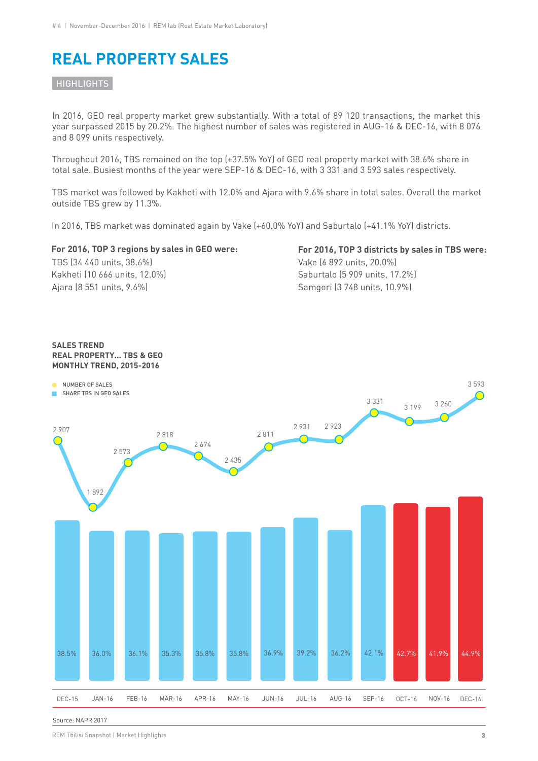### **REAL PROPERTY SALES**

#### **HIGHLIGHTS**

In 2016, GEO real property market grew substantially. With a total of 89 120 transactions, the market this year surpassed 2015 by 20.2%. The highest number of sales was registered in AUG-16 & DEC-16, with 8 076 and 8 099 units respectively.

Throughout 2016, TBS remained on the top (+37.5% YoY) of GEO real property market with 38.6% share in total sale. Busiest months of the year were SEP-16 & DEC-16, with 3 331 and 3 593 sales respectively.

TBS market was followed by Kakheti with 12.0% and Ajara with 9.6% share in total sales. Overall the market outside TBS grew by 11.3%.

In 2016, TBS market was dominated again by Vake (+60.0% YoY) and Saburtalo (+41.1% YoY) districts.

#### **For 2016, TOP 3 regions by sales in GEO were:**

Kakheti (10 666 units, 12.0%) TBS (34 440 units, 38.6%) Ajara (8 551 units, 9.6%)

### **For 2016, TOP 3 districts by sales in TBS were:**

Saburtalo (5 909 units, 17.2%) Vake (6 892 units, 20.0%) Samgori (3 748 units, 10.9%)



Source: NAPR 2017

REM Tbilisi Snapshot | Market Highlights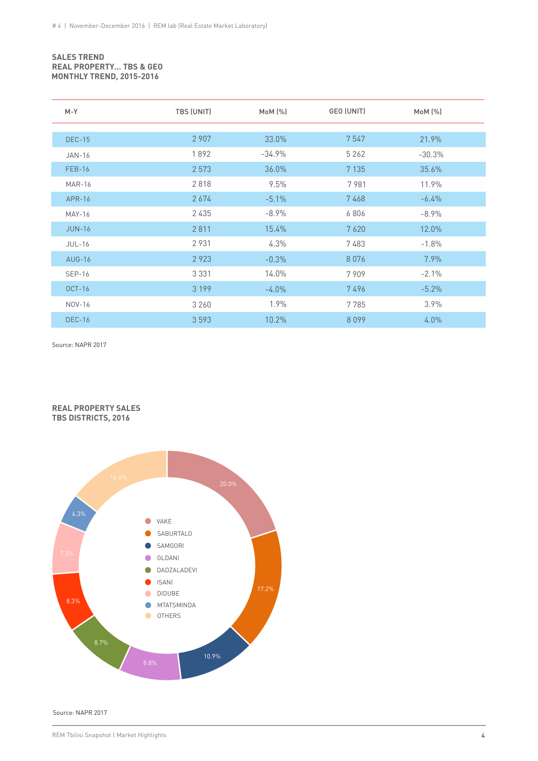#### **SALES TREND REAL PROPERTY… TBS & GEO MONTHLY TREND, 2015-2016**

| M-Y           | TBS (UNIT) | MOM (%)  | GEO (UNIT) | MoM (%)  |  |
|---------------|------------|----------|------------|----------|--|
|               |            |          |            |          |  |
| <b>DEC-15</b> | 2 9 0 7    | 33.0%    | 7547       | 21.9%    |  |
| <b>JAN-16</b> | 1892       | $-34.9%$ | 5 2 6 2    | $-30.3%$ |  |
| <b>FEB-16</b> | 2 5 7 3    | 36.0%    | 7 1 3 5    | 35.6%    |  |
| <b>MAR-16</b> | 2818       | 9.5%     | 7981       | 11.9%    |  |
| APR-16        | 2674       | $-5.1%$  | 7468       | $-6.4%$  |  |
| MAY-16        | 2435       | $-8.9%$  | 6806       | $-8.9%$  |  |
| <b>JUN-16</b> | 2811       | 15.4%    | 7620       | 12.0%    |  |
| <b>JUL-16</b> | 2931       | 4.3%     | 7483       | $-1.8%$  |  |
| <b>AUG-16</b> | 2923       | $-0.3%$  | 8076       | 7.9%     |  |
| <b>SEP-16</b> | 3 3 3 1    | 14.0%    | 7909       | $-2.1%$  |  |
| <b>OCT-16</b> | 3 1 9 9    | $-4.0\%$ | 7496       | $-5.2%$  |  |
| NOV-16        | 3 2 6 0    | 1.9%     | 7785       | 3.9%     |  |
| <b>DEC-16</b> | 3 5 9 3    | 10.2%    | 8099       | 4.0%     |  |

Source: NAPR 2017





Source: NAPR 2017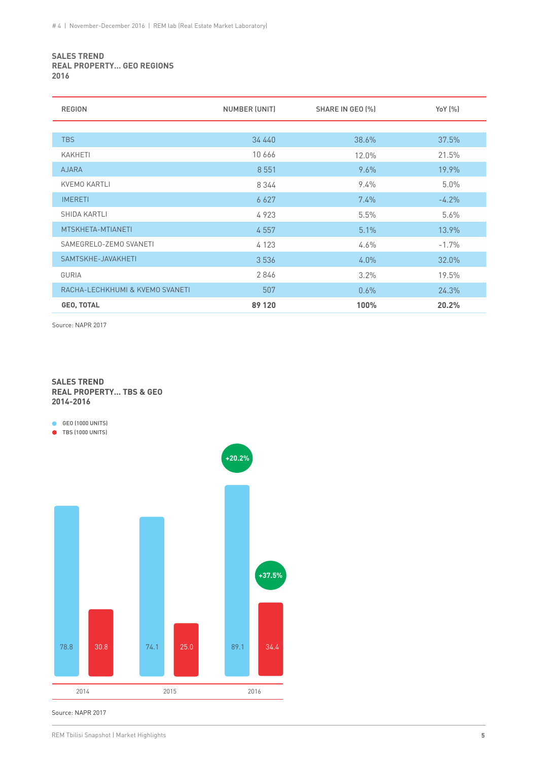#### **SALES TREND REAL PROPERTY… GEO REGIONS 2016**

| <b>REGION</b>                   | NUMBER (UNIT) | SHARE IN GEO (%) | YoY (%) |
|---------------------------------|---------------|------------------|---------|
|                                 |               |                  |         |
| <b>TBS</b>                      | 34 440        | 38.6%            | 37.5%   |
| <b>KAKHETI</b>                  | 10666         | 12.0%            | 21.5%   |
| <b>AJARA</b>                    | 8 5 5 1       | 9.6%             | 19.9%   |
| <b>KVEMO KARTLI</b>             | 8 3 4 4       | $9.4\%$          | 5.0%    |
| <b>IMERETI</b>                  | 6 6 2 7       | $7.4\%$          | $-4.2%$ |
| SHIDA KARTLI                    | 4923          | 5.5%             | 5.6%    |
| MTSKHETA-MTIANETI               | 4557          | 5.1%             | 13.9%   |
| SAMEGRELO-ZEMO SVANETI          | 4 1 2 3       | $4.6\%$          | $-1.7%$ |
| SAMTSKHE-JAVAKHETI              | 3 5 3 6       | 4.0%             | 32.0%   |
| <b>GURIA</b>                    | 2846          | 3.2%             | 19.5%   |
| RACHA-LECHKHUMI & KVEMO SVANETI | 507           | 0.6%             | 24.3%   |
| <b>GEO, TOTAL</b>               | 89 120        | 100%             | 20.2%   |

Source: NAPR 2017

#### **SALES TREND REAL PROPERTY... TBS & GEO 2014-2016**

**GEO** (1000 UNITS)

● TBS (1000 UNITS)



Source: NAPR 2017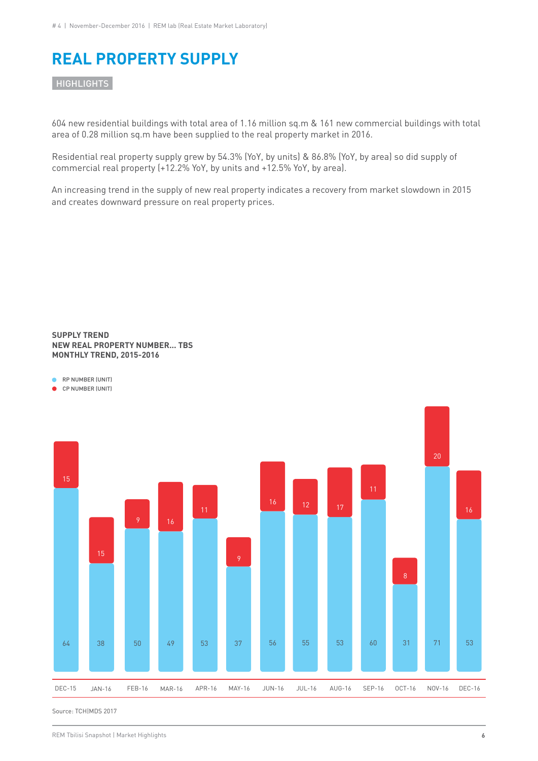### **REAL PROPERTY SUPPLY**

**HIGHLIGHTS** 

604 new residential buildings with total area of 1.16 million sq.m & 161 new commercial buildings with total area of 0.28 million sq.m have been supplied to the real property market in 2016.

Residential real property supply grew by 54.3% (YoY, by units) & 86.8% (YoY, by area) so did supply of commercial real property (+12.2% YoY, by units and +12.5% YoY, by area).

An increasing trend in the supply of new real property indicates a recovery from market slowdown in 2015 and creates downward pressure on real property prices.

#### **SUPPLY TREND NEW REAL PROPERTY NUMBER... TBS MONTHLY TREND, 2015-2016**





CP NUMBER (UNIT)

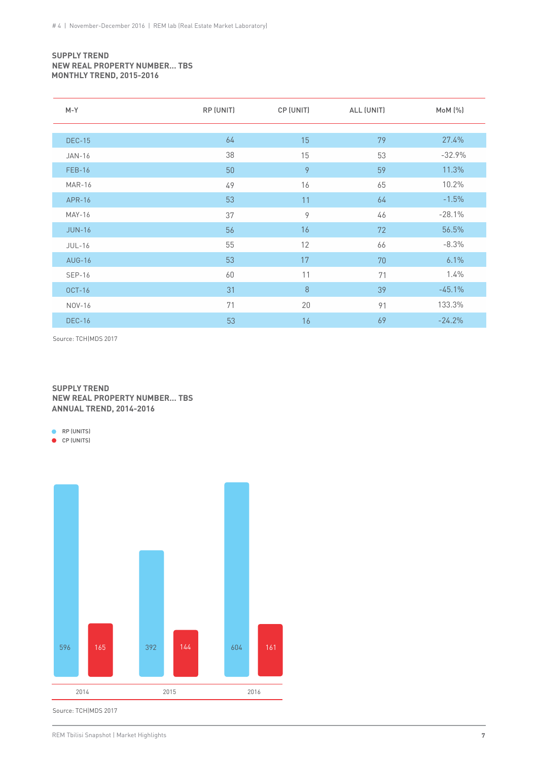#### **SUPPLY TREND NEW REAL PROPERTY NUMBER… TBS MONTHLY TREND, 2015-2016**

| $M - Y$       | RP (UNIT) | CP (UNIT) | ALL (UNIT) | MoM (%)  |
|---------------|-----------|-----------|------------|----------|
|               |           |           |            |          |
| <b>DEC-15</b> | 64        | 15        | 79         | 27.4%    |
| <b>JAN-16</b> | 38        | 15        | 53         | $-32.9%$ |
| <b>FEB-16</b> | 50        | 9         | 59         | 11.3%    |
| <b>MAR-16</b> | 49        | 16        | 65         | 10.2%    |
| APR-16        | 53        | 11        | 64         | $-1.5%$  |
| <b>MAY-16</b> | 37        | 9         | 46         | $-28.1%$ |
| <b>JUN-16</b> | 56        | 16        | 72         | 56.5%    |
| <b>JUL-16</b> | 55        | 12        | 66         | $-8.3%$  |
| <b>AUG-16</b> | 53        | 17        | 70         | 6.1%     |
| <b>SEP-16</b> | 60        | 11        | 71         | $1.4\%$  |
| <b>OCT-16</b> | 31        | $\,8\,$   | 39         | $-45.1%$ |
| NOV-16        | 71        | 20        | 91         | 133.3%   |
| <b>DEC-16</b> | 53        | 16        | 69         | $-24.2%$ |

Source: TCH|MDS 2017

#### **SUPPLY TREND NEW REAL PROPERTY NUMBER… TBS ANNUAL TREND, 2014-2016**

**RP** (UNITS)

CP (UNITS)

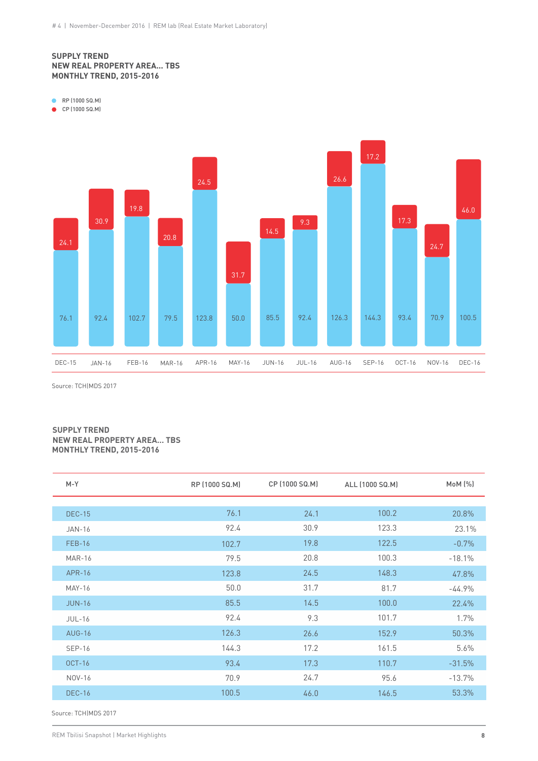#### **SUPPLY TREND NEW REAL PROPERTY AREA... TBS MONTHLY TREND, 2015-2016**

**RP** (1000 SQ.M)

CP (1000 SQ.M)



Source: TCH|MDS 2017

#### **SUPPLY TREND NEW REAL PROPERTY AREA… TBS MONTHLY TREND, 2015-2016**

| $M-Y$         | RP (1000 SQ.M) | CP (1000 SQ.M) | ALL (1000 SQ.M) | MoM (%)  |
|---------------|----------------|----------------|-----------------|----------|
|               |                |                |                 |          |
| <b>DEC-15</b> | 76.1           | 24.1           | 100.2           | 20.8%    |
| <b>JAN-16</b> | 92.4           | 30.9           | 123.3           | 23.1%    |
| <b>FEB-16</b> | 102.7          | 19.8           | 122.5           | $-0.7%$  |
| <b>MAR-16</b> | 79.5           | 20.8           | 100.3           | $-18.1%$ |
| APR-16        | 123.8          | 24.5           | 148.3           | 47.8%    |
| <b>MAY-16</b> | 50.0           | 31.7           | 81.7            | $-44.9%$ |
| <b>JUN-16</b> | 85.5           | 14.5           | 100.0           | 22.4%    |
| <b>JUL-16</b> | 92.4           | 9.3            | 101.7           | 1.7%     |
| <b>AUG-16</b> | 126.3          | 26.6           | 152.9           | 50.3%    |
| <b>SEP-16</b> | 144.3          | 17.2           | 161.5           | 5.6%     |
| <b>OCT-16</b> | 93.4           | 17.3           | 110.7           | $-31.5%$ |
| NOV-16        | 70.9           | 24.7           | 95.6            | $-13.7%$ |
| <b>DEC-16</b> | 100.5          | 46.0           | 146.5           | 53.3%    |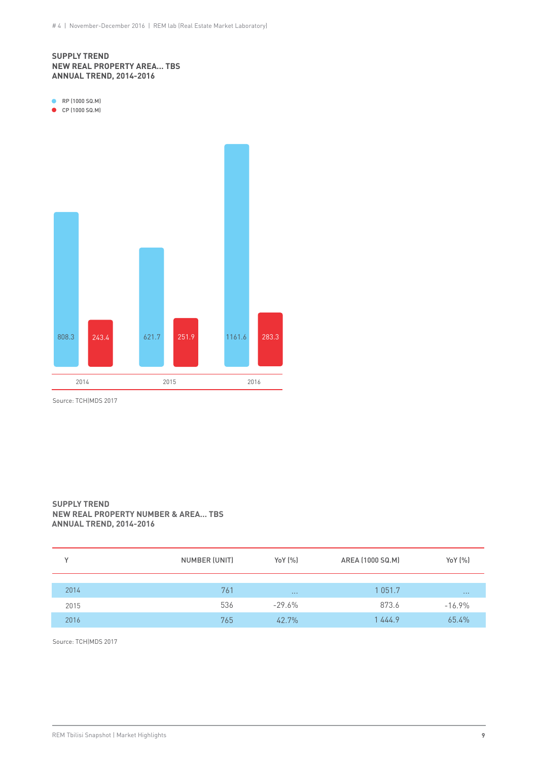#### **SUPPLY TREND NEW REAL PROPERTY AREA... TBS ANNUAL TREND, 2014-2016**

**RP** (1000 SQ.M)

● CP (1000 SQ.M)



Source: TCH|MDS 2017

#### **SUPPLY TREND NEW REAL PROPERTY NUMBER & AREA… TBS ANNUAL TREND, 2014-2016**

| v    | NUMBER (UNIT) | YoY [%]  | AREA (1000 SQ.M) | YoY (%)    |
|------|---------------|----------|------------------|------------|
|      |               |          |                  |            |
| 2014 | 761           | $\cdots$ | 1 0 5 1 . 7      | $\sim 100$ |
| 2015 | 536           | -29.6%   | 873.6            | $-16.9\%$  |
| 2016 | 765           | 42.7%    | 1444.9           | 65.4%      |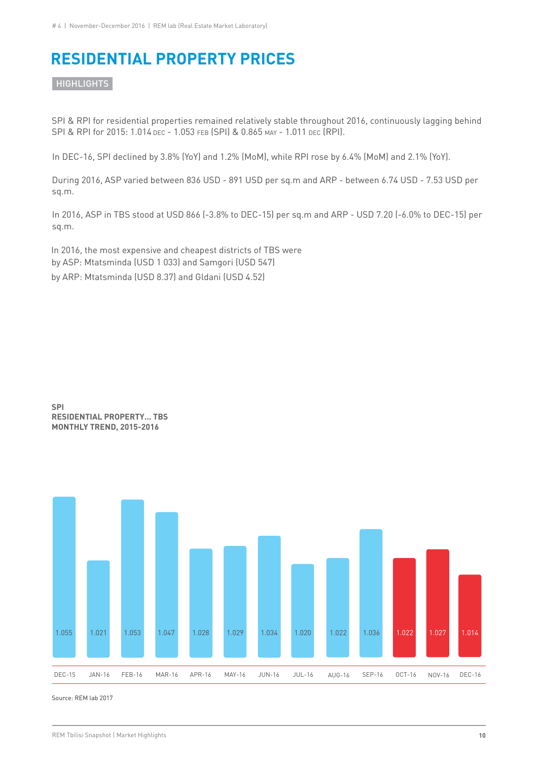## **RESIDENTIAL PROPERTY PRICES**

**HIGHLIGHTS** 

SPI & RPI for residential properties remained relatively stable throughout 2016, continuously lagging behind SPI & RPI for 2015: 1.014 DEC - 1.053 FEB (SPI) & 0.865 MAY - 1.011 DEC (RPI).

In DEC-16, SPI declined by 3.8% (YoY) and 1.2% (MoM), while RPI rose by 6.4% (MoM) and 2.1% (YoY).

During 2016, ASP varied between 836 USD - 891 USD per sq.m and ARP - between 6.74 USD - 7.53 USD per sq.m.

In 2016, ASP in TBS stood at USD 866 (-3.8% to DEC-15) per sq.m and ARP - USD 7.20 (-6.0% to DEC-15) per sq.m.

In 2016, the most expensive and cheapest districts of TBS were by ASP: Mtatsminda (USD 1 033) and Samgori (USD 547) by ARP: Mtatsminda (USD 8.37) and Gldani (USD 4.52)



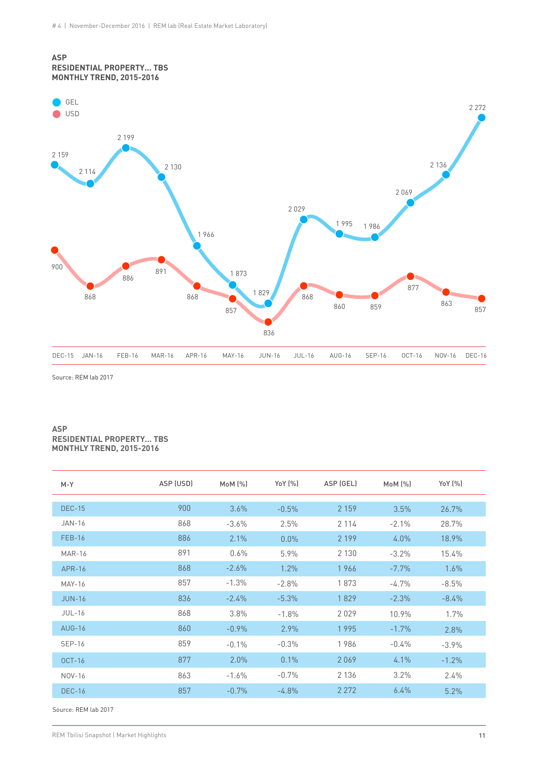#### **ASP RESIDENTIAL PROPERTY... TBS MONTHLY TREND, 2015-2016**



Source: REM lab 2017

#### **ASP RESIDENTIAL PROPERTY… TBS MONTHLY TREND, 2015-2016**

| $M-Y$         | ASP (USD) | MoM (%) | YoY (%)  | ASP (GEL) | MoM (%) | Yo Y (%) |
|---------------|-----------|---------|----------|-----------|---------|----------|
| <b>DEC-15</b> | 900       | 3.6%    | $-0.5%$  | 2 1 5 9   | 3.5%    | 26.7%    |
| <b>JAN-16</b> | 868       | $-3.6%$ | 2.5%     | 2 1 1 4   | $-2.1%$ | 28.7%    |
| <b>FEB-16</b> | 886       | 2.1%    | $0.0\%$  | 2 1 9 9   | $4.0\%$ | 18.9%    |
| <b>MAR-16</b> | 891       | 0.6%    | 5.9%     | 2 1 3 0   | $-3.2%$ | 15.4%    |
| APR-16        | 868       | $-2.6%$ | 1.2%     | 1966      | $-7.7%$ | 1.6%     |
| <b>MAY-16</b> | 857       | $-1.3%$ | $-2.8%$  | 1873      | $-4.7%$ | $-8.5%$  |
| <b>JUN-16</b> | 836       | $-2.4%$ | $-5.3%$  | 1829      | $-2.3%$ | $-8.4%$  |
| $JUL-16$      | 868       | 3.8%    | $-1.8%$  | 2029      | 10.9%   | 1.7%     |
| $AUG-16$      | 860       | $-0.9%$ | 2.9%     | 1995      | $-1.7%$ | 2.8%     |
| $SEP-16$      | 859       | $-0.1%$ | $-0.3%$  | 1986      | $-0.4%$ | $-3.9%$  |
| $OCT-16$      | 877       | 2.0%    | 0.1%     | 2069      | 4.1%    | $-1.2%$  |
| NOV-16        | 863       | $-1.6%$ | $-0.7\%$ | 2 1 3 6   | 3.2%    | 2.4%     |
| <b>DEC-16</b> | 857       | $-0.7%$ | $-4.8%$  | 2 2 7 2   | 6.4%    | 5.2%     |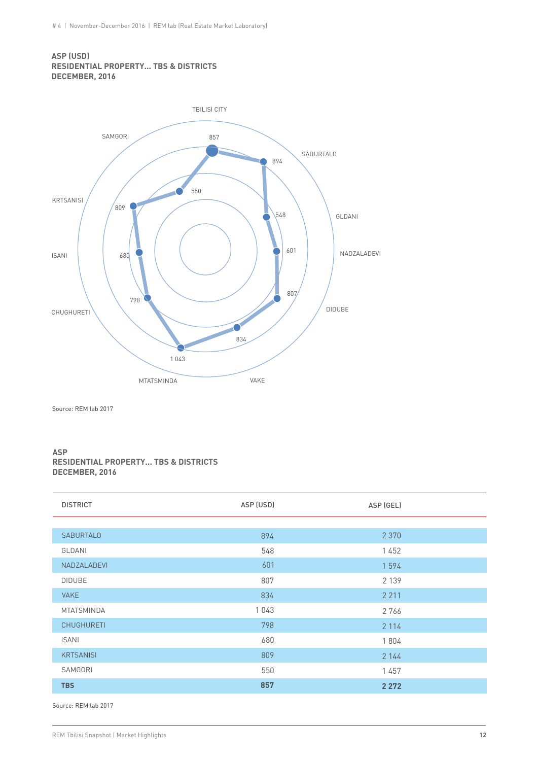#### **ASP (USD) RESIDENTIAL PROPERTY... TBS & DISTRICTS DECEMBER, 2016**



Source: REM lab 2017

#### **ASP RESIDENTIAL PROPERTY... TBS & DISTRICTS DECEMBER, 2016**

| <b>DISTRICT</b>   | ASP (USD) | ASP (GEL) |
|-------------------|-----------|-----------|
|                   |           |           |
| <b>SABURTALO</b>  | 894       | 2 3 7 0   |
| GLDANI            | 548       | 1452      |
| NADZALADEVI       | 601       | 1594      |
| <b>DIDUBE</b>     | 807       | 2 1 3 9   |
| <b>VAKE</b>       | 834       | 2 2 1 1   |
| <b>MTATSMINDA</b> | 1043      | 2766      |
| <b>CHUGHURETI</b> | 798       | 2 1 1 4   |
| <b>ISANI</b>      | 680       | 1804      |
| <b>KRTSANISI</b>  | 809       | 2 1 4 4   |
| SAMGORI           | 550       | 1457      |
| <b>TBS</b>        | 857       | 2 2 7 2   |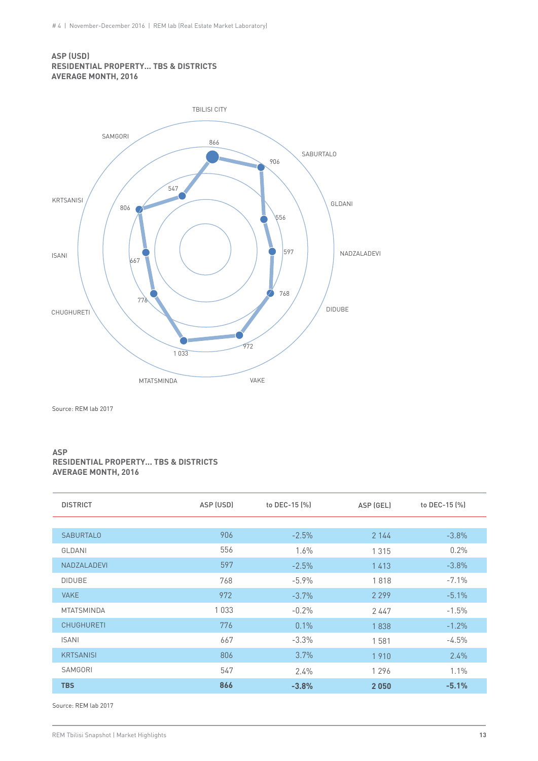#### **ASP (USD) RESIDENTIAL PROPERTY... TBS & DISTRICTS AVERAGE MONTH, 2016**



Source: REM lab 2017

#### **ASP RESIDENTIAL PROPERTY... TBS & DISTRICTS AVERAGE MONTH, 2016**

| <b>DISTRICT</b>   | ASP (USD) | to DEC-15 (%) | ASP (GEL) | to DEC-15 (%) |
|-------------------|-----------|---------------|-----------|---------------|
|                   |           |               |           |               |
| <b>SABURTALO</b>  | 906       | $-2.5%$       | 2 144     | $-3.8%$       |
| GLDANI            | 556       | $1.6\%$       | 1 3 1 5   | 0.2%          |
| NADZALADEVI       | 597       | $-2.5%$       | 1413      | $-3.8\%$      |
| <b>DIDUBE</b>     | 768       | $-5.9\%$      | 1818      | $-7.1\%$      |
| <b>VAKE</b>       | 972       | $-3.7%$       | 2 2 9 9   | $-5.1\%$      |
| <b>MTATSMINDA</b> | 1033      | $-0.2%$       | 2447      | $-1.5%$       |
| <b>CHUGHURETI</b> | 776       | 0.1%          | 1838      | $-1.2%$       |
| <b>ISANI</b>      | 667       | $-3.3\%$      | 1581      | $-4.5%$       |
| <b>KRTSANISI</b>  | 806       | 3.7%          | 1910      | 2.4%          |
| SAMGORI           | 547       | $2.4\%$       | 1296      | 1.1%          |
| <b>TBS</b>        | 866       | $-3.8%$       | 2050      | $-5.1%$       |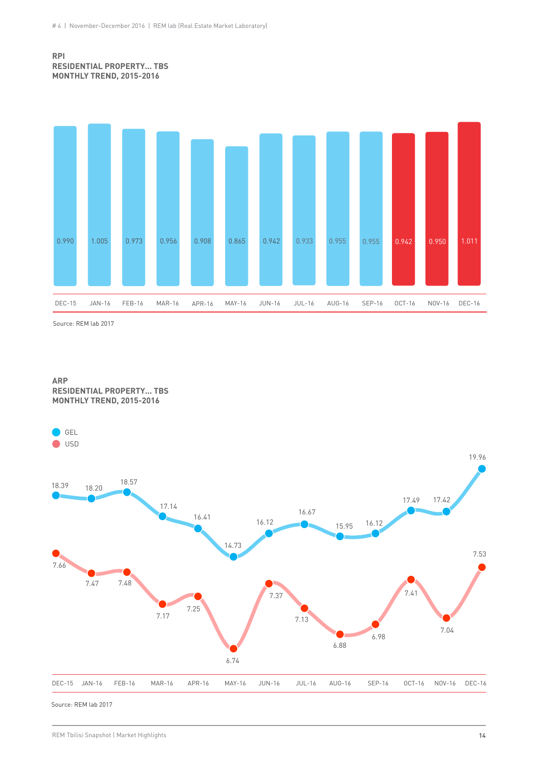#### **RPI RESIDENTIAL PROPERTY... TBS MONTHLY TREND, 2015-2016**



Source: REM lab 2017



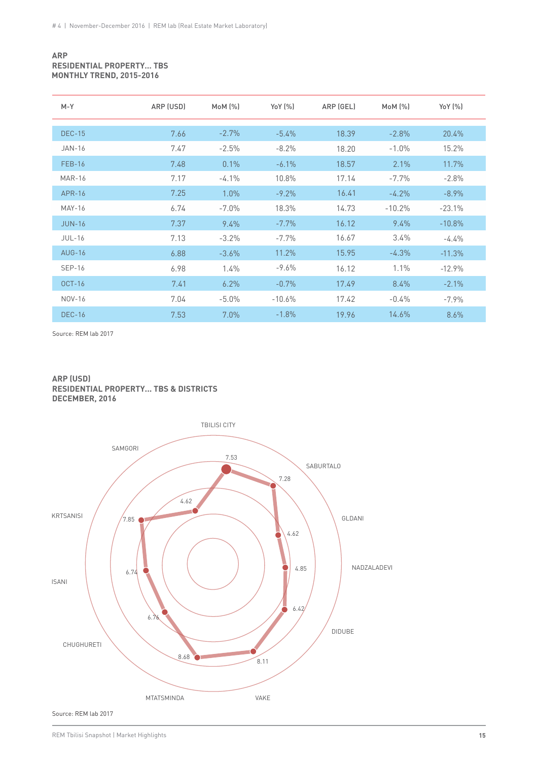#### **ARP RESIDENTIAL PROPERTY… TBS MONTHLY TREND, 2015-2016**

| $M - Y$       | ARP (USD) | MOM (%)  | YoY (%)  | ARP (GEL) | $M_0M$ $[\%]$ | YoY (%)  |
|---------------|-----------|----------|----------|-----------|---------------|----------|
| <b>DEC-15</b> | 7.66      | $-2.7%$  | $-5.4%$  | 18.39     | $-2.8%$       | 20.4%    |
| <b>JAN-16</b> | 7.47      | $-2.5%$  | $-8.2%$  | 18.20     | $-1.0%$       | 15.2%    |
| <b>FEB-16</b> | 7.48      | 0.1%     | $-6.1\%$ | 18.57     | 2.1%          | 11.7%    |
| <b>MAR-16</b> | 7.17      | $-4.1\%$ | 10.8%    | 17.14     | $-7.7%$       | $-2.8%$  |
| APR-16        | 7.25      | 1.0%     | $-9.2\%$ | 16.41     | $-4.2%$       | $-8.9\%$ |
| <b>MAY-16</b> | 6.74      | $-7.0\%$ | 18.3%    | 14.73     | $-10.2%$      | $-23.1%$ |
| <b>JUN-16</b> | 7.37      | $9.4\%$  | $-7.7%$  | 16.12     | 9.4%          | $-10.8%$ |
| <b>JUL-16</b> | 7.13      | $-3.2%$  | $-7.7%$  | 16.67     | 3.4%          | $-4.4%$  |
| <b>AUG-16</b> | 6.88      | $-3.6\%$ | 11.2%    | 15.95     | $-4.3%$       | $-11.3%$ |
| <b>SEP-16</b> | 6.98      | $1.4\%$  | $-9.6%$  | 16.12     | 1.1%          | $-12.9%$ |
| $OCT-16$      | 7.41      | $6.2\%$  | $-0.7%$  | 17.49     | 8.4%          | $-2.1\%$ |
| NOV-16        | 7.04      | $-5.0\%$ | $-10.6%$ | 17.42     | $-0.4%$       | $-7.9\%$ |
| <b>DEC-16</b> | 7.53      | $7.0\%$  | $-1.8%$  | 19.96     | 14.6%         | 8.6%     |

Source: REM lab 2017

#### **ARP (USD) RESIDENTIAL PROPERTY... TBS & DISTRICTS DECEMBER, 2016**

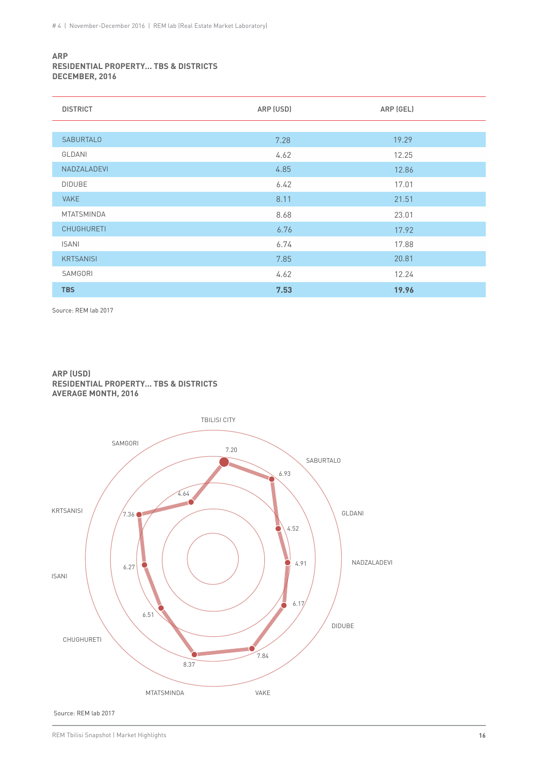#### **ARP RESIDENTIAL PROPERTY... TBS & DISTRICTS DECEMBER, 2016**

| <b>DISTRICT</b>   | ARP (USD) | ARP (GEL) |
|-------------------|-----------|-----------|
|                   |           |           |
| <b>SABURTALO</b>  | 7.28      | 19.29     |
| GLDANI            | 4.62      | 12.25     |
| NADZALADEVI       | 4.85      | 12.86     |
| <b>DIDUBE</b>     | 6.42      | 17.01     |
| <b>VAKE</b>       | 8.11      | 21.51     |
| <b>MTATSMINDA</b> | 8.68      | 23.01     |
| <b>CHUGHURETI</b> | 6.76      | 17.92     |
| <b>ISANI</b>      | 6.74      | 17.88     |
| <b>KRTSANISI</b>  | 7.85      | 20.81     |
| SAMGORI           | 4.62      | 12.24     |
| <b>TBS</b>        | 7.53      | 19.96     |

Source: REM lab 2017

#### **ARP (USD) RESIDENTIAL PROPERTY... TBS & DISTRICTS AVERAGE MONTH, 2016**

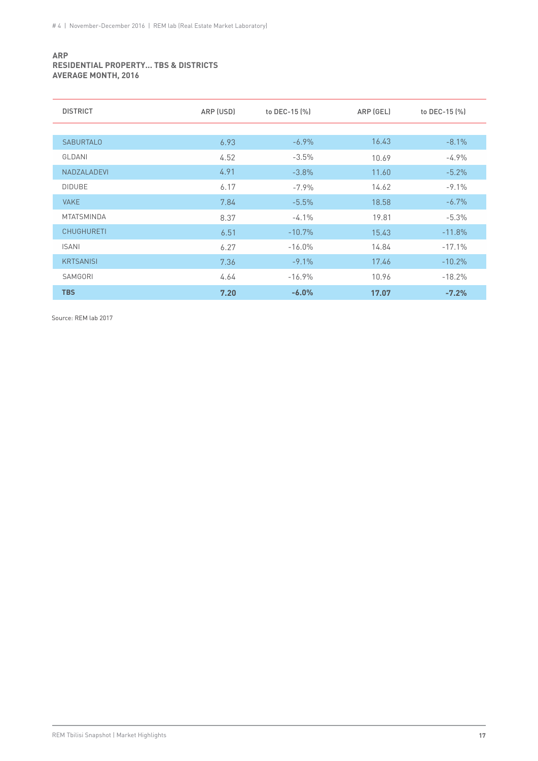#### **ARP RESIDENTIAL PROPERTY... TBS & DISTRICTS AVERAGE MONTH, 2016**

| <b>DISTRICT</b>   | ARP (USD) | to DEC-15 (%) | ARP (GEL) | to DEC-15 (%) |
|-------------------|-----------|---------------|-----------|---------------|
|                   |           |               |           |               |
| <b>SABURTALO</b>  | 6.93      | $-6.9%$       | 16.43     | $-8.1%$       |
| GLDANI            | 4.52      | $-3.5%$       | 10.69     | $-4.9%$       |
| NADZALADEVI       | 4.91      | $-3.8\%$      | 11.60     | $-5.2%$       |
| <b>DIDUBE</b>     | 6.17      | $-7.9%$       | 14.62     | $-9.1%$       |
| <b>VAKE</b>       | 7.84      | $-5.5%$       | 18.58     | $-6.7\%$      |
| <b>MTATSMINDA</b> | 8.37      | $-4.1\%$      | 19.81     | $-5.3%$       |
| <b>CHUGHURETI</b> | 6.51      | $-10.7%$      | 15.43     | $-11.8%$      |
| <b>ISANI</b>      | 6.27      | $-16.0%$      | 14.84     | $-17.1%$      |
| <b>KRTSANISI</b>  | 7.36      | $-9.1\%$      | 17.46     | $-10.2%$      |
| SAMGORI           | 4.64      | $-16.9%$      | 10.96     | $-18.2%$      |
| <b>TBS</b>        | 7.20      | $-6.0%$       | 17.07     | $-7.2%$       |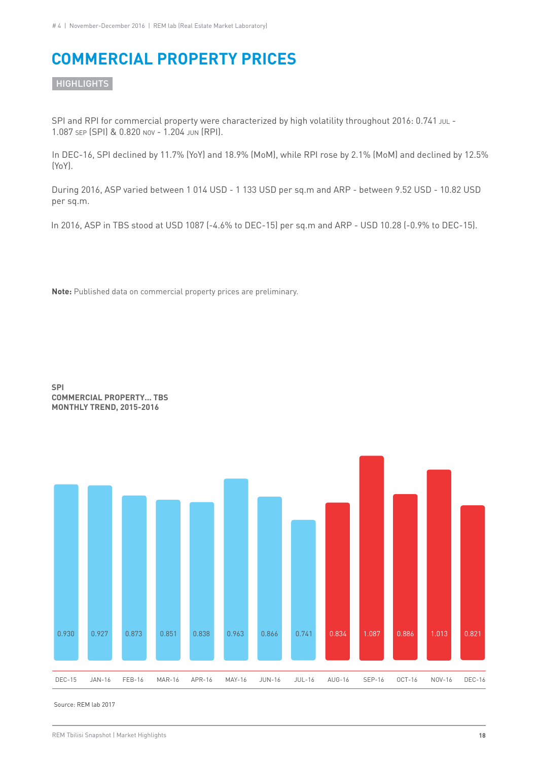## **COMMERCIAL PROPERTY PRICES**

**HIGHLIGHTS** 

SPI and RPI for commercial property were characterized by high volatility throughout 2016: 0.741 JUL -1.087 SEP (SPI) & 0.820 NOV - 1.204 JUN (RPI).

In DEC-16, SPI declined by 11.7% (YoY) and 18.9% (MoM), while RPI rose by 2.1% (MoM) and declined by 12.5% (YoY).

During 2016, ASP varied between 1 014 USD - 1 133 USD per sq.m and ARP - between 9.52 USD - 10.82 USD per sq.m.

In 2016, ASP in TBS stood at USD 1087 (-4.6% to DEC-15) per sq.m and ARP - USD 10.28 (-0.9% to DEC-15).

**Note:** Published data on commercial property prices are preliminary.



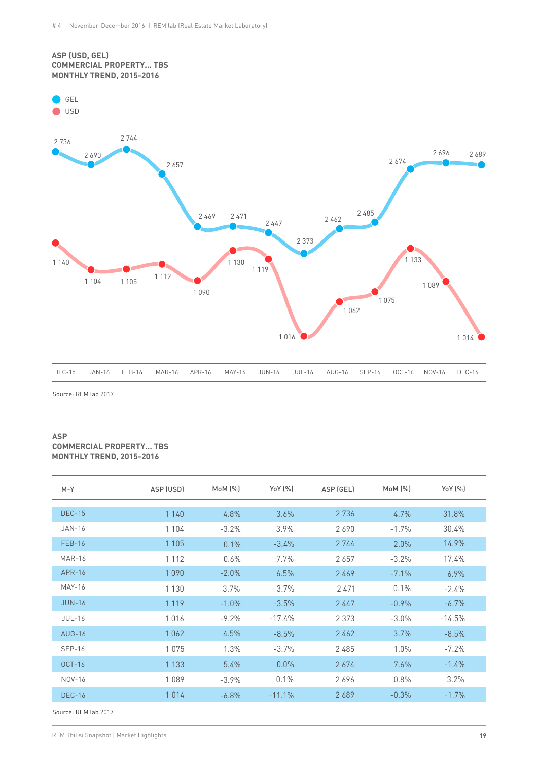#### **ASP (USD, GEL) COMMERCIAL PROPERTY... TBS MONTHLY TREND, 2015-2016**

GEL



Source: REM lab 2017

#### **ASP COMMERCIAL PROPERTY… TBS MONTHLY TREND, 2015-2016**

| $M-Y$         | ASP (USD) | MOM (%)  | YoY (%)  | ASP (GEL) | MOM (%) | YoY (%)  |
|---------------|-----------|----------|----------|-----------|---------|----------|
|               |           |          |          |           |         |          |
| <b>DEC-15</b> | 1 1 4 0   | 4.8%     | 3.6%     | 2 7 3 6   | 4.7%    | 31.8%    |
| <b>JAN-16</b> | 1 1 0 4   | $-3.2%$  | 3.9%     | 2690      | $-1.7%$ | 30.4%    |
| <b>FEB-16</b> | 1 1 0 5   | 0.1%     | $-3.4\%$ | 2 744     | 2.0%    | $14.9\%$ |
| <b>MAR-16</b> | 1 1 1 2   | 0.6%     | 7.7%     | 2657      | $-3.2%$ | 17.4%    |
| APR-16        | 1090      | $-2.0\%$ | 6.5%     | 2469      | $-7.1%$ | $6.9\%$  |
| <b>MAY-16</b> | 1 1 3 0   | 3.7%     | 3.7%     | 2471      | 0.1%    | $-2.4\%$ |
| <b>JUN-16</b> | 1 1 1 9   | $-1.0\%$ | $-3.5%$  | 2447      | $-0.9%$ | $-6.7\%$ |
| $JUL-16$      | 1016      | $-9.2\%$ | $-17.4%$ | 2 3 7 3   | $-3.0%$ | $-14.5%$ |
| <b>AUG-16</b> | 1062      | 4.5%     | $-8.5%$  | 2462      | 3.7%    | $-8.5%$  |
| <b>SEP-16</b> | 1075      | 1.3%     | $-3.7\%$ | 2485      | 1.0%    | $-7.2%$  |
| $OCT-16$      | 1 1 3 3   | $5.4\%$  | $0.0\%$  | 2674      | 7.6%    | $-1.4\%$ |
| NOV-16        | 1089      | $-3.9\%$ | 0.1%     | 2696      | 0.8%    | 3.2%     |
| <b>DEC-16</b> | 1014      | $-6.8\%$ | $-11.1%$ | 2689      | $-0.3%$ | $-1.7\%$ |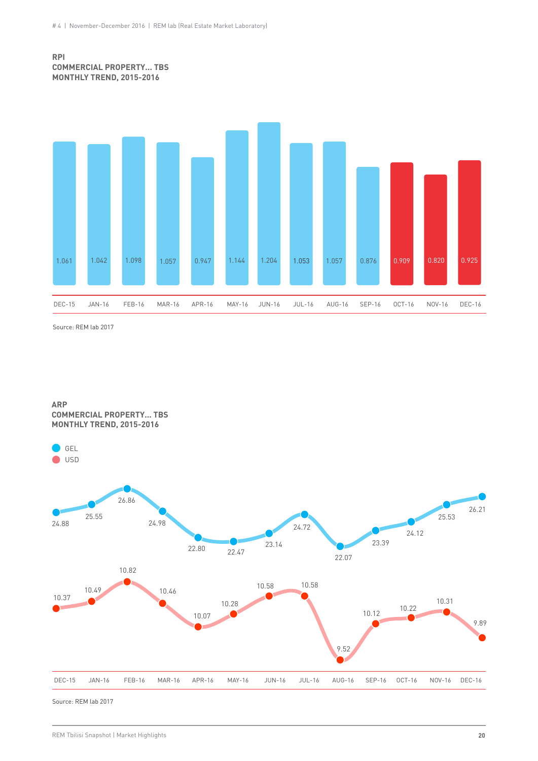#### **RPI COMMERCIAL PROPERTY... TBS MONTHLY TREND, 2015-2016**



Source: REM lab 2017

**ARP COMMERCIAL PROPERTY... TBS MONTHLY TREND, 2015-2016**